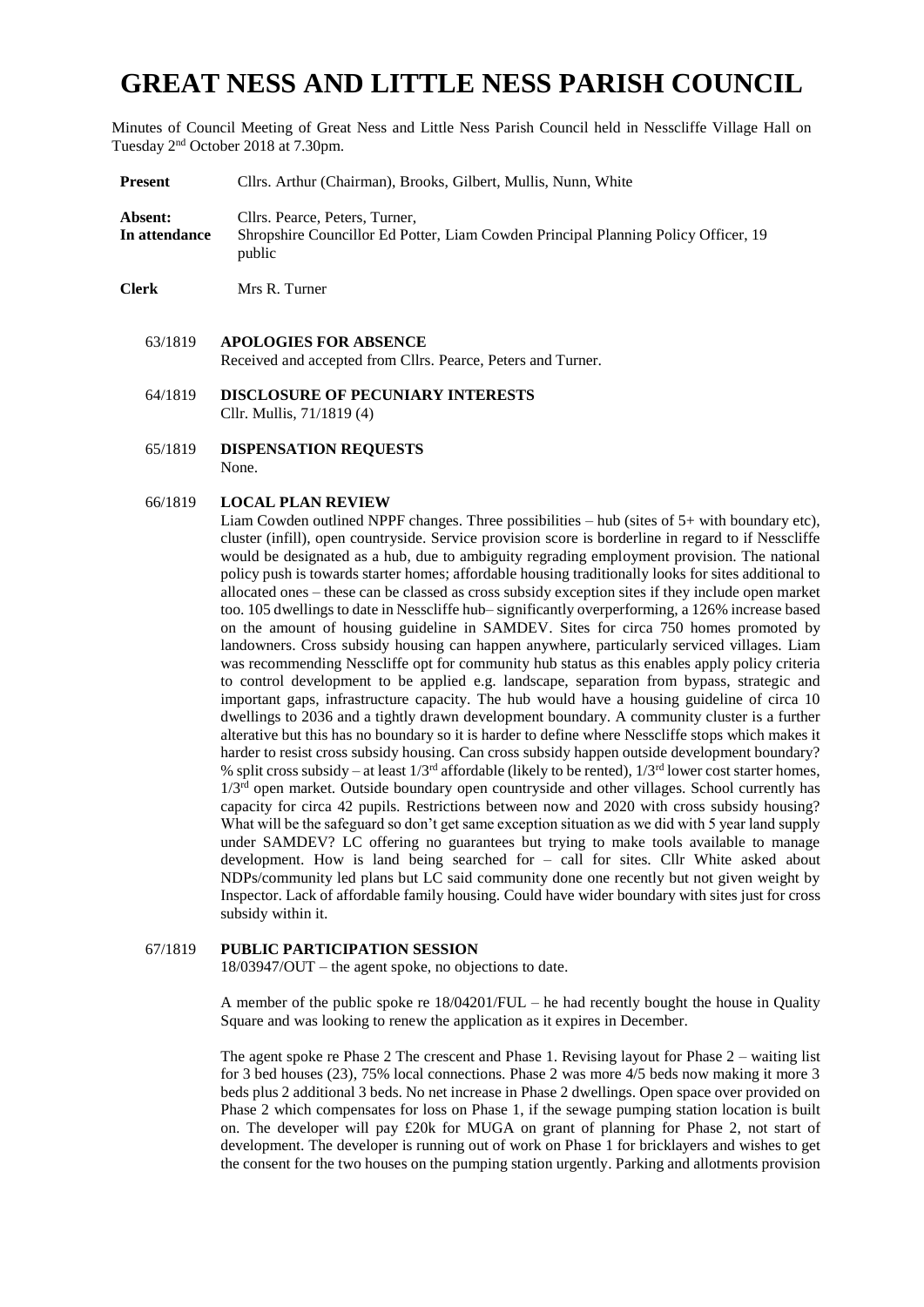# **GREAT NESS AND LITTLE NESS PARISH COUNCIL**

Minutes of Council Meeting of Great Ness and Little Ness Parish Council held in Nesscliffe Village Hall on Tuesday 2<sup>nd</sup> October 2018 at 7.30pm.

- **Present** Cllrs. Arthur (Chairman), Brooks, Gilbert, Mullis, Nunn, White **Absent:** Cllrs. Pearce, Peters, Turner, **In attendance** Shropshire Councillor Ed Potter, Liam Cowden Principal Planning Policy Officer, 19 public
- **Clerk** Mrs R. Turner
	- 63/1819 **APOLOGIES FOR ABSENCE**  Received and accepted from Cllrs. Pearce, Peters and Turner.
	- 64/1819 **DISCLOSURE OF PECUNIARY INTERESTS** Cllr. Mullis, 71/1819 (4)
	- 65/1819 **DISPENSATION REQUESTS** None.

### 66/1819 **LOCAL PLAN REVIEW**

Liam Cowden outlined NPPF changes. Three possibilities  $-$  hub (sites of  $5+$  with boundary etc), cluster (infill), open countryside. Service provision score is borderline in regard to if Nesscliffe would be designated as a hub, due to ambiguity regrading employment provision. The national policy push is towards starter homes; affordable housing traditionally looks for sites additional to allocated ones – these can be classed as cross subsidy exception sites if they include open market too. 105 dwellings to date in Nesscliffe hub– significantly overperforming, a 126% increase based on the amount of housing guideline in SAMDEV. Sites for circa 750 homes promoted by landowners. Cross subsidy housing can happen anywhere, particularly serviced villages. Liam was recommending Nesscliffe opt for community hub status as this enables apply policy criteria to control development to be applied e.g. landscape, separation from bypass, strategic and important gaps, infrastructure capacity. The hub would have a housing guideline of circa 10 dwellings to 2036 and a tightly drawn development boundary. A community cluster is a further alterative but this has no boundary so it is harder to define where Nesscliffe stops which makes it harder to resist cross subsidy housing. Can cross subsidy happen outside development boundary? % split cross subsidy – at least  $1/3<sup>rd</sup>$  affordable (likely to be rented),  $1/3<sup>rd</sup>$  lower cost starter homes,  $1/3<sup>rd</sup>$  open market. Outside boundary open countryside and other villages. School currently has capacity for circa 42 pupils. Restrictions between now and 2020 with cross subsidy housing? What will be the safeguard so don't get same exception situation as we did with 5 year land supply under SAMDEV? LC offering no guarantees but trying to make tools available to manage development. How is land being searched for – call for sites. Cllr White asked about NDPs/community led plans but LC said community done one recently but not given weight by Inspector. Lack of affordable family housing. Could have wider boundary with sites just for cross subsidy within it.

## 67/1819 **PUBLIC PARTICIPATION SESSION**

18/03947/OUT – the agent spoke, no objections to date.

A member of the public spoke re 18/04201/FUL – he had recently bought the house in Quality Square and was looking to renew the application as it expires in December.

The agent spoke re Phase 2 The crescent and Phase 1. Revising layout for Phase 2 – waiting list for 3 bed houses (23), 75% local connections. Phase 2 was more 4/5 beds now making it more 3 beds plus 2 additional 3 beds. No net increase in Phase 2 dwellings. Open space over provided on Phase 2 which compensates for loss on Phase 1, if the sewage pumping station location is built on. The developer will pay £20k for MUGA on grant of planning for Phase 2, not start of development. The developer is running out of work on Phase 1 for bricklayers and wishes to get the consent for the two houses on the pumping station urgently. Parking and allotments provision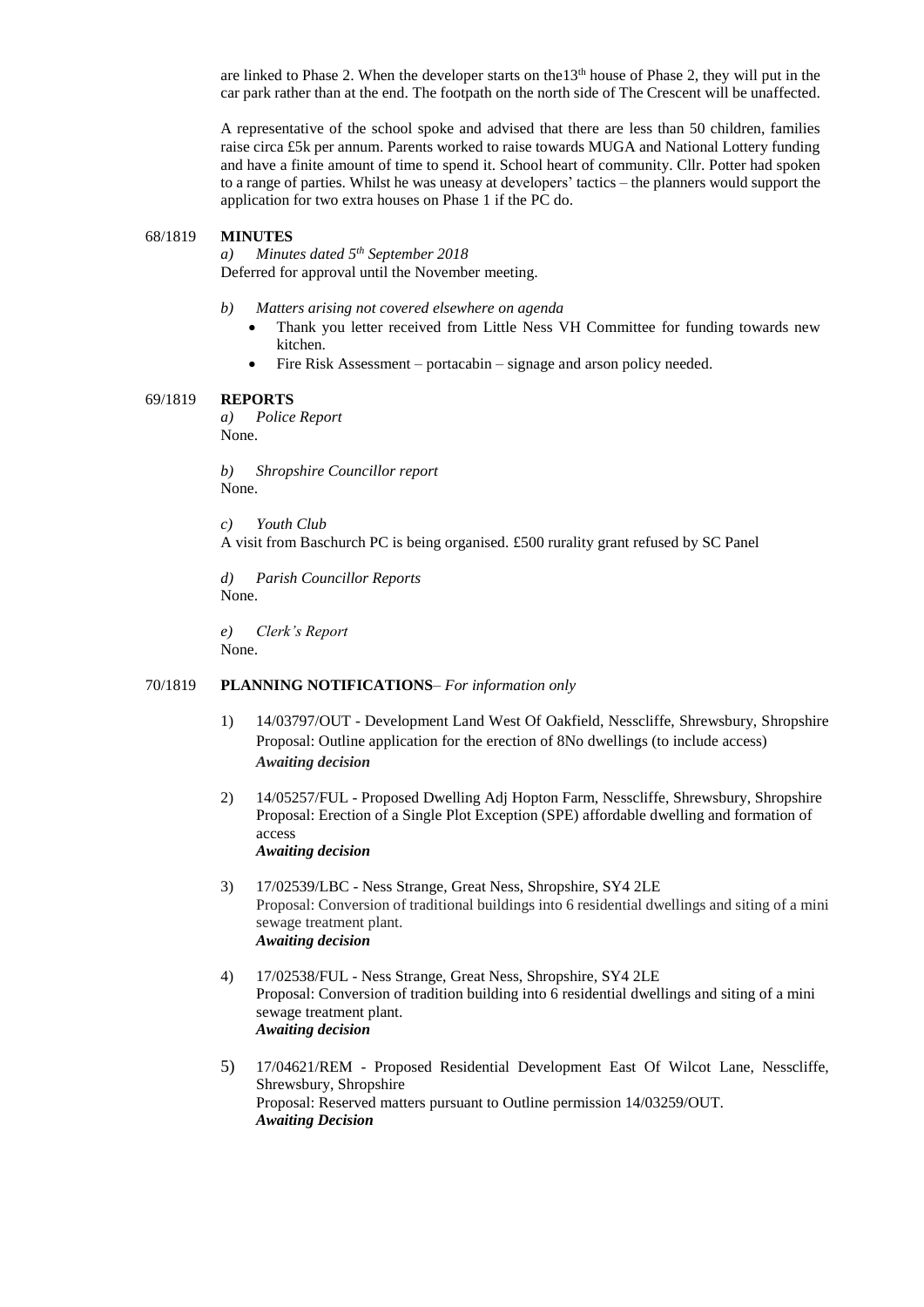are linked to Phase 2. When the developer starts on the 13<sup>th</sup> house of Phase 2, they will put in the car park rather than at the end. The footpath on the north side of The Crescent will be unaffected.

A representative of the school spoke and advised that there are less than 50 children, families raise circa £5k per annum. Parents worked to raise towards MUGA and National Lottery funding and have a finite amount of time to spend it. School heart of community. Cllr. Potter had spoken to a range of parties. Whilst he was uneasy at developers' tactics – the planners would support the application for two extra houses on Phase 1 if the PC do.

#### 68/1819 **MINUTES**

*a) Minutes dated 5 th September 2018* Deferred for approval until the November meeting.

- *b) Matters arising not covered elsewhere on agenda*
	- Thank you letter received from Little Ness VH Committee for funding towards new kitchen.
	- Fire Risk Assessment portacabin signage and arson policy needed.

#### 69/1819 **REPORTS**

*a) Police Report* None.

*b) Shropshire Councillor report* None.

*c) Youth Club* A visit from Baschurch PC is being organised. £500 rurality grant refused by SC Panel

*d) Parish Councillor Reports* None.

*e) Clerk's Report* None.

#### 70/1819 **PLANNING NOTIFICATIONS**– *For information only*

- 1) 14/03797/OUT Development Land West Of Oakfield, Nesscliffe, Shrewsbury, Shropshire Proposal: Outline application for the erection of 8No dwellings (to include access) *Awaiting decision*
- 2) 14/05257/FUL Proposed Dwelling Adj Hopton Farm, Nesscliffe, Shrewsbury, Shropshire Proposal: Erection of a Single Plot Exception (SPE) affordable dwelling and formation of access *Awaiting decision*

3) 17/02539/LBC - Ness Strange, Great Ness, Shropshire, SY4 2LE Proposal: Conversion of traditional buildings into 6 residential dwellings and siting of a mini sewage treatment plant. *Awaiting decision*

- 4) 17/02538/FUL Ness Strange, Great Ness, Shropshire, SY4 2LE Proposal: Conversion of tradition building into 6 residential dwellings and siting of a mini sewage treatment plant. *Awaiting decision*
- 5) 17/04621/REM Proposed Residential Development East Of Wilcot Lane, Nesscliffe, Shrewsbury, Shropshire Proposal: Reserved matters pursuant to Outline permission 14/03259/OUT. *Awaiting Decision*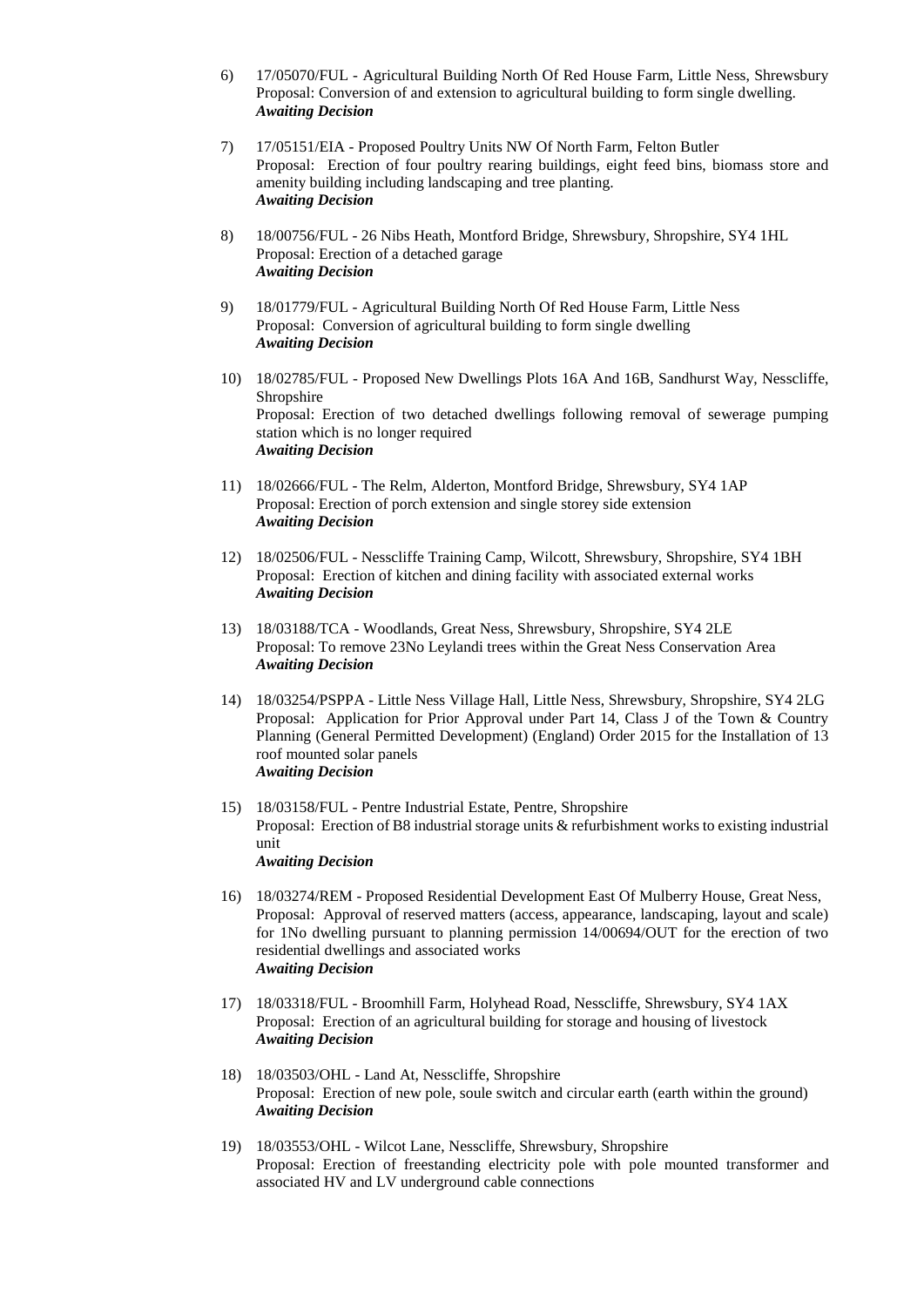- 6) 17/05070/FUL Agricultural Building North Of Red House Farm, Little Ness, Shrewsbury Proposal: Conversion of and extension to agricultural building to form single dwelling. *Awaiting Decision*
- 7) 17/05151/EIA Proposed Poultry Units NW Of North Farm, Felton Butler Proposal: Erection of four poultry rearing buildings, eight feed bins, biomass store and amenity building including landscaping and tree planting. *Awaiting Decision*
- 8) 18/00756/FUL 26 Nibs Heath, Montford Bridge, Shrewsbury, Shropshire, SY4 1HL Proposal: Erection of a detached garage *Awaiting Decision*
- 9) 18/01779/FUL Agricultural Building North Of Red House Farm, Little Ness Proposal: Conversion of agricultural building to form single dwelling *Awaiting Decision*
- 10) 18/02785/FUL Proposed New Dwellings Plots 16A And 16B, Sandhurst Way, Nesscliffe, Shropshire Proposal: Erection of two detached dwellings following removal of sewerage pumping station which is no longer required *Awaiting Decision*
- 11) 18/02666/FUL The Relm, Alderton, Montford Bridge, Shrewsbury, SY4 1AP Proposal: Erection of porch extension and single storey side extension *Awaiting Decision*
- 12) 18/02506/FUL Nesscliffe Training Camp, Wilcott, Shrewsbury, Shropshire, SY4 1BH Proposal: Erection of kitchen and dining facility with associated external works *Awaiting Decision*
- 13) 18/03188/TCA Woodlands, Great Ness, Shrewsbury, Shropshire, SY4 2LE Proposal: To remove 23No Leylandi trees within the Great Ness Conservation Area *Awaiting Decision*
- 14) 18/03254/PSPPA Little Ness Village Hall, Little Ness, Shrewsbury, Shropshire, SY4 2LG Proposal: Application for Prior Approval under Part 14, Class J of the Town & Country Planning (General Permitted Development) (England) Order 2015 for the Installation of 13 roof mounted solar panels *Awaiting Decision*
- 15) 18/03158/FUL Pentre Industrial Estate, Pentre, Shropshire Proposal: Erection of B8 industrial storage units & refurbishment works to existing industrial unit *Awaiting Decision*
- 16) 18/03274/REM Proposed Residential Development East Of Mulberry House, Great Ness, Proposal: Approval of reserved matters (access, appearance, landscaping, layout and scale) for 1No dwelling pursuant to planning permission 14/00694/OUT for the erection of two residential dwellings and associated works *Awaiting Decision*
- 17) 18/03318/FUL Broomhill Farm, Holyhead Road, Nesscliffe, Shrewsbury, SY4 1AX Proposal: Erection of an agricultural building for storage and housing of livestock *Awaiting Decision*
- 18) 18/03503/OHL Land At, Nesscliffe, Shropshire Proposal: Erection of new pole, soule switch and circular earth (earth within the ground) *Awaiting Decision*
- 19) 18/03553/OHL Wilcot Lane, Nesscliffe, Shrewsbury, Shropshire Proposal: Erection of freestanding electricity pole with pole mounted transformer and associated HV and LV underground cable connections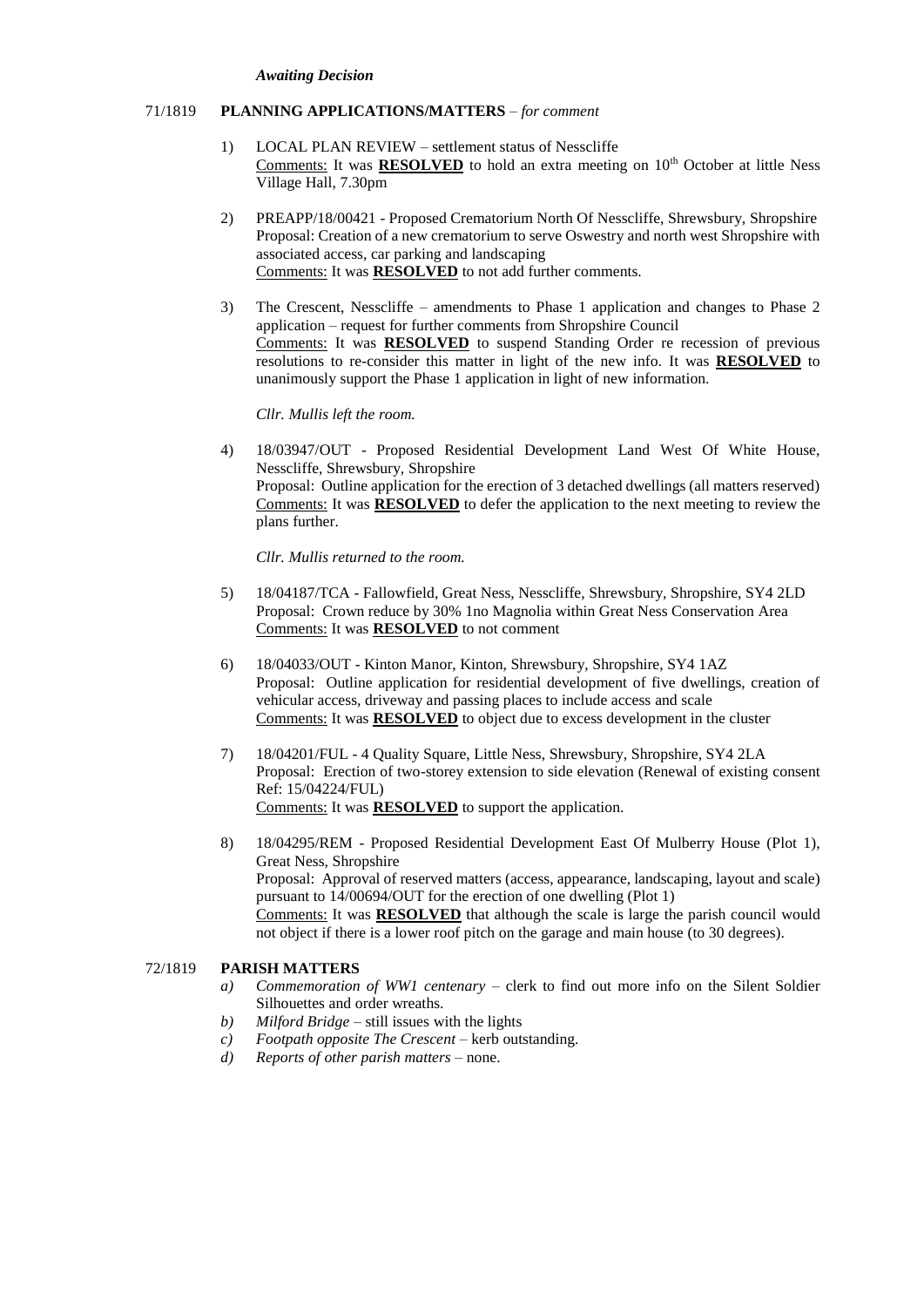#### *Awaiting Decision*

## 71/1819 **PLANNING APPLICATIONS/MATTERS** – *for comment*

- 1) LOCAL PLAN REVIEW settlement status of Nesscliffe Comments: It was **RESOLVED** to hold an extra meeting on 10<sup>th</sup> October at little Ness Village Hall, 7.30pm
- 2) PREAPP/18/00421 Proposed Crematorium North Of Nesscliffe, Shrewsbury, Shropshire Proposal: Creation of a new crematorium to serve Oswestry and north west Shropshire with associated access, car parking and landscaping Comments: It was **RESOLVED** to not add further comments.
- 3) The Crescent, Nesscliffe amendments to Phase 1 application and changes to Phase 2 application – request for further comments from Shropshire Council Comments: It was **RESOLVED** to suspend Standing Order re recession of previous resolutions to re-consider this matter in light of the new info. It was **RESOLVED** to unanimously support the Phase 1 application in light of new information.

*Cllr. Mullis left the room.*

4) 18/03947/OUT - Proposed Residential Development Land West Of White House, Nesscliffe, Shrewsbury, Shropshire Proposal: Outline application for the erection of 3 detached dwellings (all matters reserved) Comments: It was **RESOLVED** to defer the application to the next meeting to review the plans further.

*Cllr. Mullis returned to the room.*

- 5) 18/04187/TCA Fallowfield, Great Ness, Nesscliffe, Shrewsbury, Shropshire, SY4 2LD Proposal: Crown reduce by 30% 1no Magnolia within Great Ness Conservation Area Comments: It was **RESOLVED** to not comment
- 6) 18/04033/OUT Kinton Manor, Kinton, Shrewsbury, Shropshire, SY4 1AZ Proposal: Outline application for residential development of five dwellings, creation of vehicular access, driveway and passing places to include access and scale Comments: It was **RESOLVED** to object due to excess development in the cluster
- 7) 18/04201/FUL 4 Quality Square, Little Ness, Shrewsbury, Shropshire, SY4 2LA Proposal: Erection of two-storey extension to side elevation (Renewal of existing consent Ref: 15/04224/FUL) Comments: It was **RESOLVED** to support the application.
- 8) 18/04295/REM Proposed Residential Development East Of Mulberry House (Plot 1), Great Ness, Shropshire Proposal: Approval of reserved matters (access, appearance, landscaping, layout and scale) pursuant to 14/00694/OUT for the erection of one dwelling (Plot 1) Comments: It was **RESOLVED** that although the scale is large the parish council would not object if there is a lower roof pitch on the garage and main house (to 30 degrees).

## 72/1819 **PARISH MATTERS**

- *a) Commemoration of WW1 centenary* clerk to find out more info on the Silent Soldier Silhouettes and order wreaths.
- *b) Milford Bridge* still issues with the lights
- *c) Footpath opposite The Crescent* kerb outstanding.
- *d) Reports of other parish matters* none.